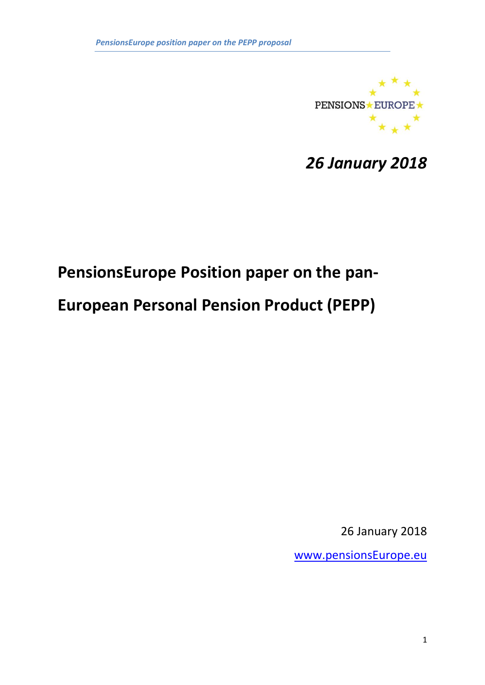

*26 January 2018*

# **PensionsEurope Position paper on the pan-**

## **European Personal Pension Product (PEPP)**

26 January 2018

[www.pensionsEurope.eu](http://www.pensionseurope.eu/)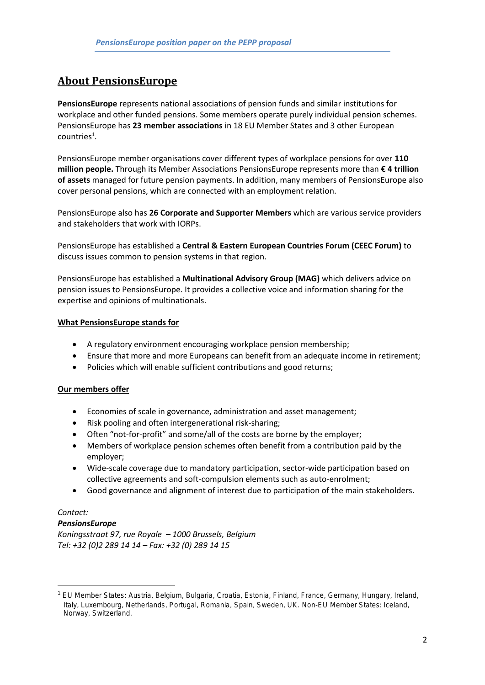## **About PensionsEurope**

**PensionsEurope** represents national associations of pension funds and similar institutions for workplace and other funded pensions. Some members operate purely individual pension schemes. PensionsEurope has **23 member associations** in 18 EU Member States and 3 other European  $countries<sup>1</sup>$ .

PensionsEurope member organisations cover different types of workplace pensions for over **110 million people.** Through its Member Associations PensionsEurope represents more than **€ 4 trillion of assets** managed for future pension payments. In addition, many members of PensionsEurope also cover personal pensions, which are connected with an employment relation.

PensionsEurope also has **26 Corporate and Supporter Members** which are various service providers and stakeholders that work with IORPs.

PensionsEurope has established a **Central & Eastern European Countries Forum (CEEC Forum)** to discuss issues common to pension systems in that region.

PensionsEurope has established a **Multinational Advisory Group (MAG)** which delivers advice on pension issues to PensionsEurope. It provides a collective voice and information sharing for the expertise and opinions of multinationals.

#### **What PensionsEurope stands for**

- A regulatory environment encouraging workplace pension membership;
- Ensure that more and more Europeans can benefit from an adequate income in retirement:
- Policies which will enable sufficient contributions and good returns;

## **Our members offer**

- Economies of scale in governance, administration and asset management;
- Risk pooling and often intergenerational risk-sharing;
- Often "not-for-profit" and some/all of the costs are borne by the employer;
- Members of workplace pension schemes often benefit from a contribution paid by the employer;
- Wide-scale coverage due to mandatory participation, sector-wide participation based on collective agreements and soft-compulsion elements such as auto-enrolment;
- Good governance and alignment of interest due to participation of the main stakeholders.

## *Contact:*

**.** 

## *PensionsEurope*

*Koningsstraat 97, rue Royale – 1000 Brussels, Belgium Tel: +32 (0)2 289 14 14 – Fax: +32 (0) 289 14 15*

<sup>1</sup> EU Member States: Austria, Belgium, Bulgaria, Croatia, Estonia, Finland, France, Germany, Hungary, Ireland, Italy, Luxembourg, Netherlands, Portugal, Romania, Spain, Sweden, UK. Non-EU Member States: Iceland, Norway, Switzerland.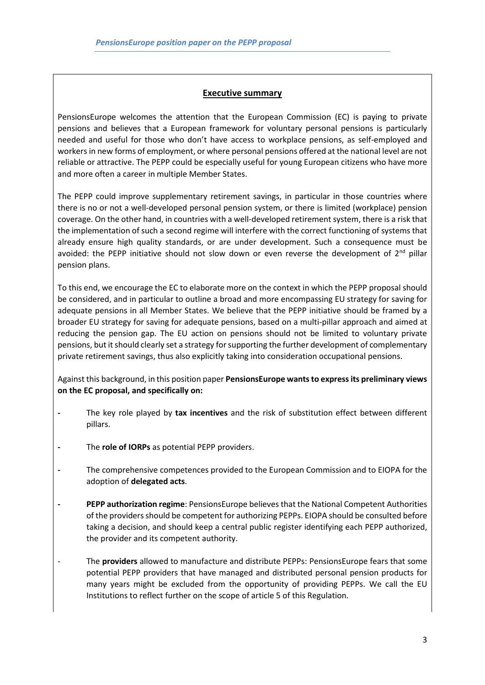## **Executive summary**

PensionsEurope welcomes the attention that the European Commission (EC) is paying to private pensions and believes that a European framework for voluntary personal pensions is particularly needed and useful for those who don't have access to workplace pensions, as self-employed and workers in new forms of employment, or where personal pensions offered at the national level are not reliable or attractive. The PEPP could be especially useful for young European citizens who have more and more often a career in multiple Member States.

The PEPP could improve supplementary retirement savings, in particular in those countries where there is no or not a well-developed personal pension system, or there is limited (workplace) pension coverage. On the other hand, in countries with a well-developed retirement system, there is a risk that the implementation of such a second regime will interfere with the correct functioning of systems that already ensure high quality standards, or are under development. Such a consequence must be avoided: the PEPP initiative should not slow down or even reverse the development of  $2^{nd}$  pillar pension plans.

To this end, we encourage the EC to elaborate more on the context in which the PEPP proposal should be considered, and in particular to outline a broad and more encompassing EU strategy for saving for adequate pensions in all Member States. We believe that the PEPP initiative should be framed by a broader EU strategy for saving for adequate pensions, based on a multi-pillar approach and aimed at reducing the pension gap. The EU action on pensions should not be limited to voluntary private pensions, but it should clearly set a strategy for supporting the further development of complementary private retirement savings, thus also explicitly taking into consideration occupational pensions.

Against this background, in this position paper **PensionsEurope wants to express its preliminary views on the EC proposal, and specifically on:**

- **-** The key role played by **tax incentives** and the risk of substitution effect between different pillars.
- **-** The **role of IORPs** as potential PEPP providers.
- **-** The comprehensive competences provided to the European Commission and to EIOPA for the adoption of **delegated acts**.
- **- PEPP authorization regime**: PensionsEurope believes that the National Competent Authorities of the providersshould be competent for authorizing PEPPs. EIOPA should be consulted before taking a decision, and should keep a central public register identifying each PEPP authorized, the provider and its competent authority.
- The **providers** allowed to manufacture and distribute PEPPs: PensionsEurope fears that some potential PEPP providers that have managed and distributed personal pension products for many years might be excluded from the opportunity of providing PEPPs. We call the EU Institutions to reflect further on the scope of article 5 of this Regulation.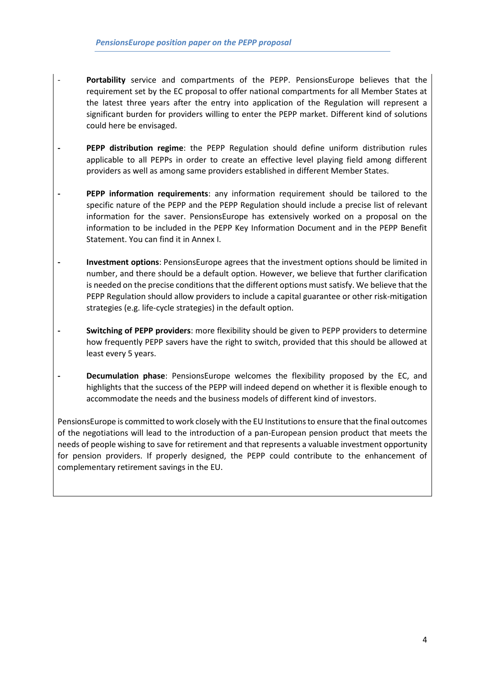- Portability service and compartments of the PEPP. PensionsEurope believes that the requirement set by the EC proposal to offer national compartments for all Member States at the latest three years after the entry into application of the Regulation will represent a significant burden for providers willing to enter the PEPP market. Different kind of solutions could here be envisaged.
- **- PEPP distribution regime**: the PEPP Regulation should define uniform distribution rules applicable to all PEPPs in order to create an effective level playing field among different providers as well as among same providers established in different Member States.
- **- PEPP information requirements**: any information requirement should be tailored to the specific nature of the PEPP and the PEPP Regulation should include a precise list of relevant information for the saver. PensionsEurope has extensively worked on a proposal on the information to be included in the PEPP Key Information Document and in the PEPP Benefit Statement. You can find it in Annex I.
- **- Investment options**: PensionsEurope agrees that the investment options should be limited in number, and there should be a default option. However, we believe that further clarification is needed on the precise conditions that the different options must satisfy. We believe that the PEPP Regulation should allow providers to include a capital guarantee or other risk-mitigation strategies (e.g. life-cycle strategies) in the default option.
- **- Switching of PEPP providers**: more flexibility should be given to PEPP providers to determine how frequently PEPP savers have the right to switch, provided that this should be allowed at least every 5 years.
- **- Decumulation phase**: PensionsEurope welcomes the flexibility proposed by the EC, and highlights that the success of the PEPP will indeed depend on whether it is flexible enough to accommodate the needs and the business models of different kind of investors.

PensionsEurope is committed to work closely with the EU Institutions to ensure that the final outcomes of the negotiations will lead to the introduction of a pan-European pension product that meets the needs of people wishing to save for retirement and that represents a valuable investment opportunity for pension providers. If properly designed, the PEPP could contribute to the enhancement of complementary retirement savings in the EU.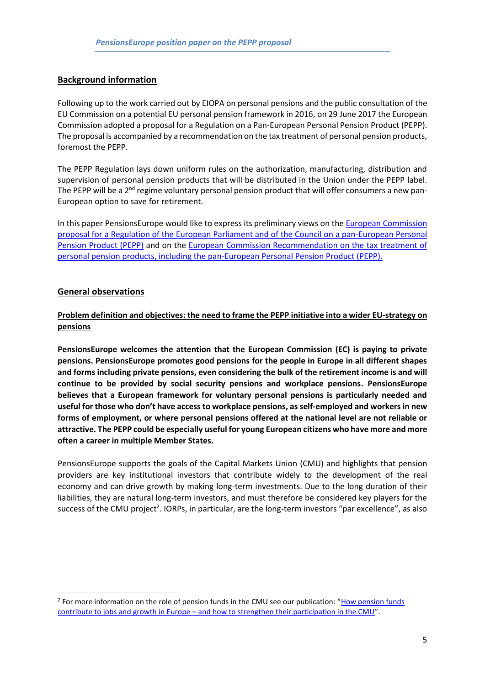## **Background information**

Following up to the work carried out by EIOPA on personal pensions and the public consultation of the EU Commission on a potential EU personal pension framework in 2016, on 29 June 2017 the European Commission adopted a proposal for a Regulation on a Pan-European Personal Pension Product (PEPP). The proposal is accompanied by a recommendation on the tax treatment of personal pension products, foremost the PEPP.

The PEPP Regulation lays down uniform rules on the authorization, manufacturing, distribution and supervision of personal pension products that will be distributed in the Union under the PEPP label. The PEPP will be a 2<sup>nd</sup> regime voluntary personal pension product that will offer consumers a new pan-European option to save for retirement.

In this paper PensionsEurope would like to express its preliminary views on th[e European Commission](http://eur-lex.europa.eu/legal-content/EN/TXT/PDF/?uri=CELEX:52017PC0343&from=EN)  [proposal for a Regulation of the European Parliament and of the Council on a pan-European Personal](http://eur-lex.europa.eu/legal-content/EN/TXT/PDF/?uri=CELEX:52017PC0343&from=EN)  [Pension Product \(PEPP\)](http://eur-lex.europa.eu/legal-content/EN/TXT/PDF/?uri=CELEX:52017PC0343&from=EN) and on the [European Commission Recommendation on the tax treatment of](https://ec.europa.eu/info/sites/info/files/170629-personal-pensions-recommendation_en.pdf)  [personal pension products, including the pan-European Personal Pension Product \(PEPP\).](https://ec.europa.eu/info/sites/info/files/170629-personal-pensions-recommendation_en.pdf)

## **General observations**

**.** 

**Problem definition and objectives: the need to frame the PEPP initiative into a wider EU-strategy on pensions**

**PensionsEurope welcomes the attention that the European Commission (EC) is paying to private pensions. PensionsEurope promotes good pensions for the people in Europe in all different shapes and forms including private pensions, even considering the bulk of the retirement income is and will continue to be provided by social security pensions and workplace pensions. PensionsEurope believes that a European framework for voluntary personal pensions is particularly needed and useful for those who don't have access to workplace pensions, as self-employed and workers in new forms of employment, or where personal pensions offered at the national level are not reliable or attractive. The PEPP could be especially useful for young European citizens who have more and more often a career in multiple Member States.** 

PensionsEurope supports the goals of the Capital Markets Union (CMU) and highlights that pension providers are key institutional investors that contribute widely to the development of the real economy and can drive growth by making long-term investments. Due to the long duration of their liabilities, they are natural long-term investors, and must therefore be considered key players for the success of the CMU project<sup>2</sup>. IORPs, in particular, are the long-term investors "par excellence", as also

<sup>&</sup>lt;sup>2</sup> For more information on the role of pension funds in the CMU see our publication: "How pension funds contribute to jobs and growth in Europe – [and how to strengthen their participation in the CMU](https://www.pensionseurope.eu/system/files/Pensions%20Europe%20CMU%20brochure.pdf)".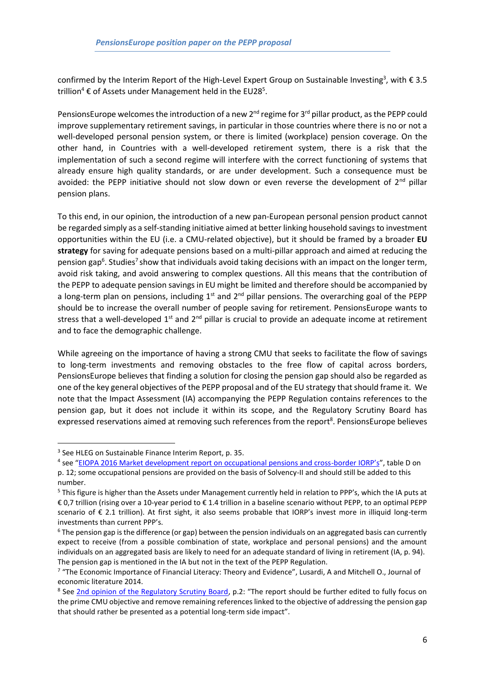confirmed by the Interim Report of the High-Level Expert Group on Sustainable Investing<sup>3</sup>, with  $\epsilon$  3.5 trillion<sup>4</sup>  $\epsilon$  of Assets under Management held in the EU28<sup>5</sup>.

PensionsEurope welcomes the introduction of a new 2<sup>nd</sup> regime for 3<sup>rd</sup> pillar product, as the PEPP could improve supplementary retirement savings, in particular in those countries where there is no or not a well-developed personal pension system, or there is limited (workplace) pension coverage. On the other hand, in Countries with a well-developed retirement system, there is a risk that the implementation of such a second regime will interfere with the correct functioning of systems that already ensure high quality standards, or are under development. Such a consequence must be avoided: the PEPP initiative should not slow down or even reverse the development of  $2^{nd}$  pillar pension plans.

To this end, in our opinion, the introduction of a new pan-European personal pension product cannot be regarded simply as a self-standing initiative aimed at better linking household savings to investment opportunities within the EU (i.e. a CMU-related objective), but it should be framed by a broader **EU strategy** for saving for adequate pensions based on a multi-pillar approach and aimed at reducing the pension gap<sup>6</sup>. Studies<sup>7</sup> show that individuals avoid taking decisions with an impact on the longer term, avoid risk taking, and avoid answering to complex questions. All this means that the contribution of the PEPP to adequate pension savings in EU might be limited and therefore should be accompanied by a long-term plan on pensions, including  $1<sup>st</sup>$  and  $2<sup>nd</sup>$  pillar pensions. The overarching goal of the PEPP should be to increase the overall number of people saving for retirement. PensionsEurope wants to stress that a well-developed  $1<sup>st</sup>$  and  $2<sup>nd</sup>$  pillar is crucial to provide an adequate income at retirement and to face the demographic challenge.

While agreeing on the importance of having a strong CMU that seeks to facilitate the flow of savings to long-term investments and removing obstacles to the free flow of capital across borders, PensionsEurope believes that finding a solution for closing the pension gap should also be regarded as one of the key general objectives of the PEPP proposal and of the EU strategy that should frame it. We note that the Impact Assessment (IA) accompanying the PEPP Regulation contains references to the pension gap, but it does not include it within its scope, and the Regulatory Scrutiny Board has expressed reservations aimed at removing such references from the report<sup>8</sup>. PensionsEurope believes

1

<sup>&</sup>lt;sup>3</sup> See HLEG on Sustainable Finance Interim Report, p. 35.

<sup>&</sup>lt;sup>4</sup> see "[EIOPA 2016 Market development report on occupational pensions and cross-](https://eiopa.europa.eu/Publications/Reports/EIOPA-BoS-16-222_2016%20market%20development%20report%202016.pdf)border IORP's", table D on p. 12; some occupational pensions are provided on the basis of Solvency-II and should still be added to this number.

<sup>&</sup>lt;sup>5</sup> This figure is higher than the Assets under Management currently held in relation to PPP's, which the IA puts at € 0,7 trillion (rising over a 10-year period to € 1.4 trillion in a baseline scenario without PEPP, to an optimal PEPP scenario of € 2.1 trillion). At first sight, it also seems probable that IORP's invest more in illiquid long-term investments than current PPP's.

<sup>6</sup> The pension gap is the difference (or gap) between the pension individuals on an aggregated basis can currently expect to receive (from a possible combination of state, workplace and personal pensions) and the amount individuals on an aggregated basis are likely to need for an adequate standard of living in retirement (IA, p. 94). The pension gap is mentioned in the IA but not in the text of the PEPP Regulation.

<sup>&</sup>lt;sup>7</sup> "The Economic Importance of Financial Literacy: Theory and Evidence", Lusardi, A and Mitchell O., Journal of economic literature 2014.

<sup>&</sup>lt;sup>8</sup> See [2nd opinion of the Regulatory Scrutiny Board](http://www.europarl.europa.eu/sides/getDoc.do?type=COMPARL&reference=PE-607.907&format=PDF&language=EN&secondRef=01), p.2: "The report should be further edited to fully focus on the prime CMU objective and remove remaining references linked to the objective of addressing the pension gap that should rather be presented as a potential long-term side impact".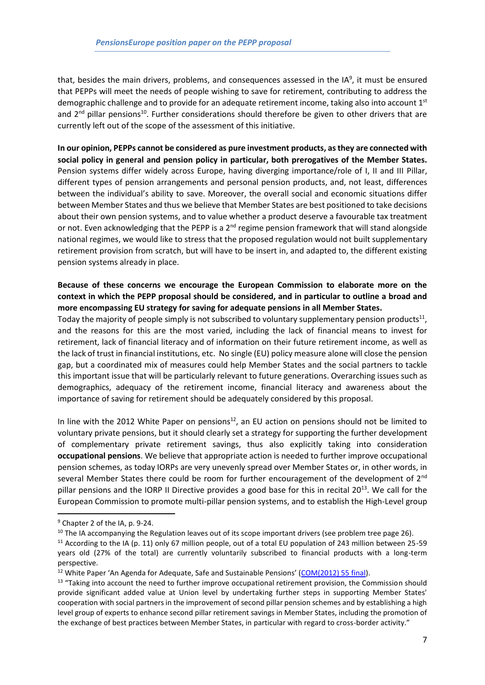that, besides the main drivers, problems, and consequences assessed in the IA<sup>9</sup>, it must be ensured that PEPPs will meet the needs of people wishing to save for retirement, contributing to address the demographic challenge and to provide for an adequate retirement income, taking also into account  $1<sup>st</sup>$ and  $2^{nd}$  pillar pensions<sup>10</sup>. Further considerations should therefore be given to other drivers that are currently left out of the scope of the assessment of this initiative.

**In our opinion, PEPPs cannot be considered as pure investment products, as they are connected with social policy in general and pension policy in particular, both prerogatives of the Member States.** Pension systems differ widely across Europe, having diverging importance/role of I, II and III Pillar, different types of pension arrangements and personal pension products, and, not least, differences between the individual's ability to save. Moreover, the overall social and economic situations differ between Member States and thus we believe that Member States are best positioned to take decisions about their own pension systems, and to value whether a product deserve a favourable tax treatment or not. Even acknowledging that the PEPP is a 2<sup>nd</sup> regime pension framework that will stand alongside national regimes, we would like to stress that the proposed regulation would not built supplementary retirement provision from scratch, but will have to be insert in, and adapted to, the different existing pension systems already in place.

## **Because of these concerns we encourage the European Commission to elaborate more on the context in which the PEPP proposal should be considered, and in particular to outline a broad and more encompassing EU strategy for saving for adequate pensions in all Member States.**

Today the majority of people simply is not subscribed to voluntary supplementary pension products<sup>11</sup>, and the reasons for this are the most varied, including the lack of financial means to invest for retirement, lack of financial literacy and of information on their future retirement income, as well as the lack of trust in financial institutions, etc. No single (EU) policy measure alone will close the pension gap, but a coordinated mix of measures could help Member States and the social partners to tackle this important issue that will be particularly relevant to future generations. Overarching issues such as demographics, adequacy of the retirement income, financial literacy and awareness about the importance of saving for retirement should be adequately considered by this proposal.

In line with the 2012 White Paper on pensions $^{12}$ , an EU action on pensions should not be limited to voluntary private pensions, but it should clearly set a strategy for supporting the further development of complementary private retirement savings, thus also explicitly taking into consideration **occupational pensions**. We believe that appropriate action is needed to further improve occupational pension schemes, as today IORPs are very unevenly spread over Member States or, in other words, in several Member States there could be room for further encouragement of the development of  $2^{nd}$ pillar pensions and the IORP II Directive provides a good base for this in recital 20<sup>13</sup>. We call for the European Commission to promote multi-pillar pension systems, and to establish the High-Level group

1

<sup>&</sup>lt;sup>9</sup> Chapter 2 of the IA, p. 9-24.

<sup>&</sup>lt;sup>10</sup> The IA accompanying the Regulation leaves out of its scope important drivers (see problem tree page 26).

 $11$  According to the IA (p. 11) only 67 million people, out of a total EU population of 243 million between 25-59 years old (27% of the total) are currently voluntarily subscribed to financial products with a long-term perspective.

<sup>&</sup>lt;sup>12</sup> White Paper 'An Agenda for Adequate, Safe and Sustainable Pensions' ( $COM(2012)$  55 final).

<sup>&</sup>lt;sup>13</sup> "Taking into account the need to further improve occupational retirement provision, the Commission should provide significant added value at Union level by undertaking further steps in supporting Member States' cooperation with social partners in the improvement of second pillar pension schemes and by establishing a high level group of experts to enhance second pillar retirement savings in Member States, including the promotion of the exchange of best practices between Member States, in particular with regard to cross-border activity."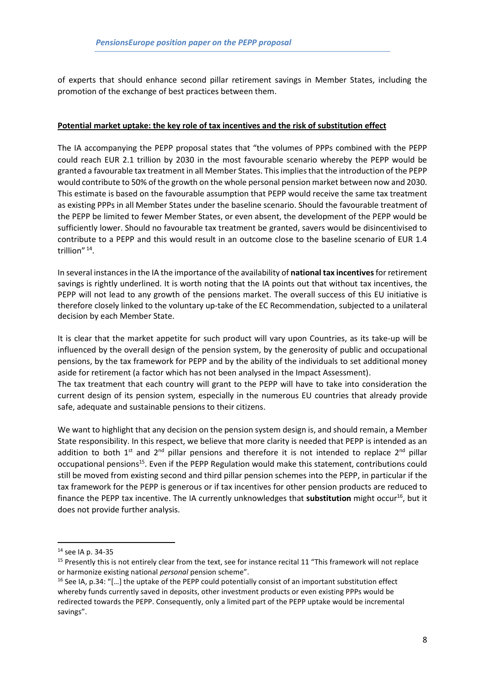of experts that should enhance second pillar retirement savings in Member States, including the promotion of the exchange of best practices between them.

#### **Potential market uptake: the key role of tax incentives and the risk of substitution effect**

The IA accompanying the PEPP proposal states that "the volumes of PPPs combined with the PEPP could reach EUR 2.1 trillion by 2030 in the most favourable scenario whereby the PEPP would be granted a favourable tax treatment in all Member States. This implies that the introduction of the PEPP would contribute to 50% of the growth on the whole personal pension market between now and 2030. This estimate is based on the favourable assumption that PEPP would receive the same tax treatment as existing PPPs in all Member States under the baseline scenario. Should the favourable treatment of the PEPP be limited to fewer Member States, or even absent, the development of the PEPP would be sufficiently lower. Should no favourable tax treatment be granted, savers would be disincentivised to contribute to a PEPP and this would result in an outcome close to the baseline scenario of EUR 1.4 trillion"<sup>14</sup>.

In several instances in the IA the importance of the availability of **national tax incentives**for retirement savings is rightly underlined. It is worth noting that the IA points out that without tax incentives, the PEPP will not lead to any growth of the pensions market. The overall success of this EU initiative is therefore closely linked to the voluntary up-take of the EC Recommendation, subjected to a unilateral decision by each Member State.

It is clear that the market appetite for such product will vary upon Countries, as its take-up will be influenced by the overall design of the pension system, by the generosity of public and occupational pensions, by the tax framework for PEPP and by the ability of the individuals to set additional money aside for retirement (a factor which has not been analysed in the Impact Assessment).

The tax treatment that each country will grant to the PEPP will have to take into consideration the current design of its pension system, especially in the numerous EU countries that already provide safe, adequate and sustainable pensions to their citizens.

We want to highlight that any decision on the pension system design is, and should remain, a Member State responsibility. In this respect, we believe that more clarity is needed that PEPP is intended as an addition to both  $1^{st}$  and  $2^{nd}$  pillar pensions and therefore it is not intended to replace  $2^{nd}$  pillar occupational pensions<sup>15</sup>. Even if the PEPP Regulation would make this statement, contributions could still be moved from existing second and third pillar pension schemes into the PEPP, in particular if the tax framework for the PEPP is generous or if tax incentives for other pension products are reduced to finance the PEPP tax incentive. The IA currently unknowledges that **substitution** might occur<sup>16</sup>, but it does not provide further analysis.

**.** 

<sup>14</sup> see IA p. 34-35

<sup>&</sup>lt;sup>15</sup> Presently this is not entirely clear from the text, see for instance recital 11 "This framework will not replace or harmonize existing national *personal* pension scheme".

<sup>&</sup>lt;sup>16</sup> See IA, p.34: "[...] the uptake of the PEPP could potentially consist of an important substitution effect whereby funds currently saved in deposits, other investment products or even existing PPPs would be redirected towards the PEPP. Consequently, only a limited part of the PEPP uptake would be incremental savings".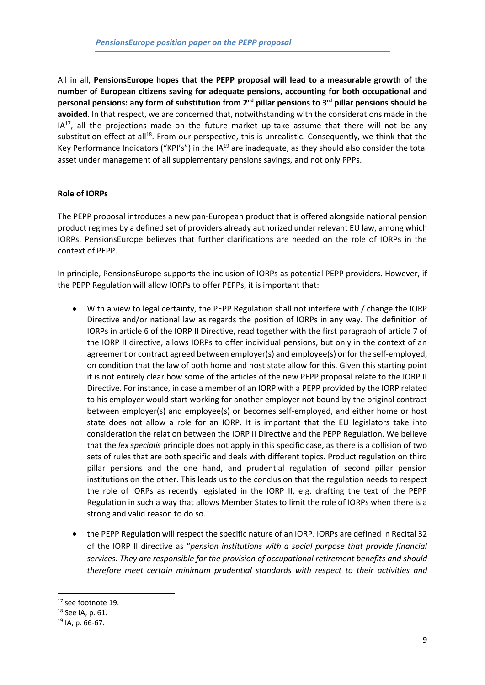All in all, **PensionsEurope hopes that the PEPP proposal will lead to a measurable growth of the number of European citizens saving for adequate pensions, accounting for both occupational and personal pensions: any form of substitution from 2nd pillar pensions to 3rd pillar pensions should be avoided**. In that respect, we are concerned that, notwithstanding with the considerations made in the  $IA<sup>17</sup>$ , all the projections made on the future market up-take assume that there will not be any substitution effect at all<sup>18</sup>. From our perspective, this is unrealistic. Consequently, we think that the Key Performance Indicators ("KPI's") in the  $IA^{19}$  are inadequate, as they should also consider the total asset under management of all supplementary pensions savings, and not only PPPs.

## **Role of IORPs**

The PEPP proposal introduces a new pan-European product that is offered alongside national pension product regimes by a defined set of providers already authorized under relevant EU law, among which IORPs. PensionsEurope believes that further clarifications are needed on the role of IORPs in the context of PEPP.

In principle, PensionsEurope supports the inclusion of IORPs as potential PEPP providers. However, if the PEPP Regulation will allow IORPs to offer PEPPs, it is important that:

- With a view to legal certainty, the PEPP Regulation shall not interfere with / change the IORP Directive and/or national law as regards the position of IORPs in any way. The definition of IORPs in article 6 of the IORP II Directive, read together with the first paragraph of article 7 of the IORP II directive, allows IORPs to offer individual pensions, but only in the context of an agreement or contract agreed between employer(s) and employee(s) or for the self-employed, on condition that the law of both home and host state allow for this. Given this starting point it is not entirely clear how some of the articles of the new PEPP proposal relate to the IORP II Directive. For instance, in case a member of an IORP with a PEPP provided by the IORP related to his employer would start working for another employer not bound by the original contract between employer(s) and employee(s) or becomes self-employed, and either home or host state does not allow a role for an IORP. It is important that the EU legislators take into consideration the relation between the IORP II Directive and the PEPP Regulation. We believe that the *lex specialis* principle does not apply in this specific case, as there is a collision of two sets of rules that are both specific and deals with different topics. Product regulation on third pillar pensions and the one hand, and prudential regulation of second pillar pension institutions on the other. This leads us to the conclusion that the regulation needs to respect the role of IORPs as recently legislated in the IORP II, e.g. drafting the text of the PEPP Regulation in such a way that allows Member States to limit the role of IORPs when there is a strong and valid reason to do so.
- the PEPP Regulation will respect the specific nature of an IORP. IORPs are defined in Recital 32 of the IORP II directive as "*pension institutions with a social purpose that provide financial services. They are responsible for the provision of occupational retirement benefits and should therefore meet certain minimum prudential standards with respect to their activities and*

**.** 

<sup>&</sup>lt;sup>17</sup> see footnote 19.

<sup>18</sup> See IA, p. 61.

<sup>19</sup> IA, p. 66-67.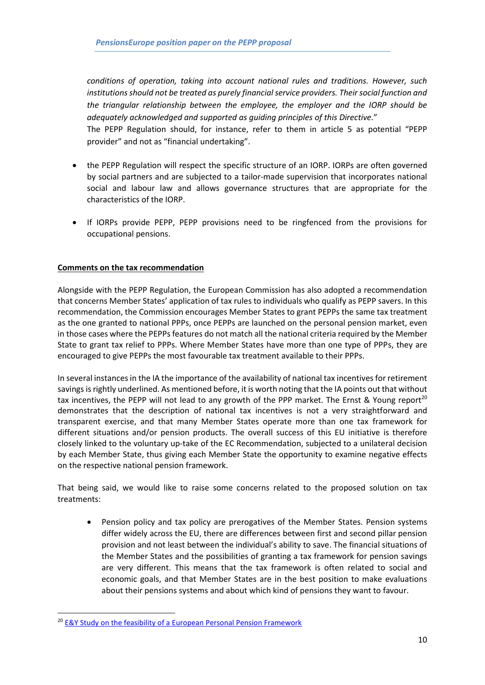*conditions of operation, taking into account national rules and traditions. However, such institutions should not be treated as purely financial service providers. Their social function and the triangular relationship between the employee, the employer and the IORP should be adequately acknowledged and supported as guiding principles of this Directive.*"

The PEPP Regulation should, for instance, refer to them in article 5 as potential "PEPP provider" and not as "financial undertaking".

- the PEPP Regulation will respect the specific structure of an IORP. IORPs are often governed by social partners and are subjected to a tailor-made supervision that incorporates national social and labour law and allows governance structures that are appropriate for the characteristics of the IORP.
- If IORPs provide PEPP, PEPP provisions need to be ringfenced from the provisions for occupational pensions.

#### **Comments on the tax recommendation**

Alongside with the PEPP Regulation, the European Commission has also adopted a recommendation that concerns Member States' application of tax rules to individuals who qualify as PEPP savers. In this recommendation, the Commission encourages Member States to grant PEPPs the same tax treatment as the one granted to national PPPs, once PEPPs are launched on the personal pension market, even in those cases where the PEPPs features do not match all the national criteria required by the Member State to grant tax relief to PPPs. Where Member States have more than one type of PPPs, they are encouraged to give PEPPs the most favourable tax treatment available to their PPPs.

In several instances in the IA the importance of the availability of national tax incentives for retirement savings is rightly underlined. As mentioned before, it is worth noting that the IA points out that without tax incentives, the PEPP will not lead to any growth of the PPP market. The Ernst & Young report<sup>20</sup> demonstrates that the description of national tax incentives is not a very straightforward and transparent exercise, and that many Member States operate more than one tax framework for different situations and/or pension products. The overall success of this EU initiative is therefore closely linked to the voluntary up-take of the EC Recommendation, subjected to a unilateral decision by each Member State, thus giving each Member State the opportunity to examine negative effects on the respective national pension framework.

That being said, we would like to raise some concerns related to the proposed solution on tax treatments:

• Pension policy and tax policy are prerogatives of the Member States. Pension systems differ widely across the EU, there are differences between first and second pillar pension provision and not least between the individual's ability to save. The financial situations of the Member States and the possibilities of granting a tax framework for pension savings are very different. This means that the tax framework is often related to social and economic goals, and that Member States are in the best position to make evaluations about their pensions systems and about which kind of pensions they want to favour.

1

<sup>&</sup>lt;sup>20</sup> [E&Y Study on the feasibility of a European Personal Pension Framework](https://ec.europa.eu/info/sites/info/files/170629-personal-pensions-study_en.pdf)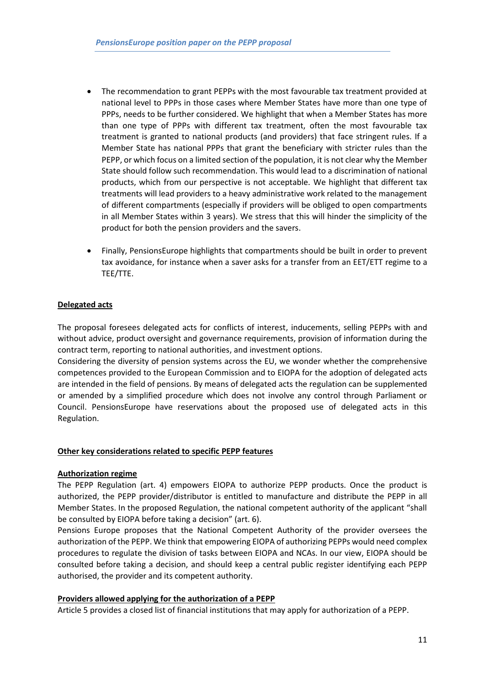- The recommendation to grant PEPPs with the most favourable tax treatment provided at national level to PPPs in those cases where Member States have more than one type of PPPs, needs to be further considered. We highlight that when a Member States has more than one type of PPPs with different tax treatment, often the most favourable tax treatment is granted to national products (and providers) that face stringent rules. If a Member State has national PPPs that grant the beneficiary with stricter rules than the PEPP, or which focus on a limited section of the population, it is not clear why the Member State should follow such recommendation. This would lead to a discrimination of national products, which from our perspective is not acceptable. We highlight that different tax treatments will lead providers to a heavy administrative work related to the management of different compartments (especially if providers will be obliged to open compartments in all Member States within 3 years). We stress that this will hinder the simplicity of the product for both the pension providers and the savers.
- Finally, PensionsEurope highlights that compartments should be built in order to prevent tax avoidance, for instance when a saver asks for a transfer from an EET/ETT regime to a TEE/TTE.

## **Delegated acts**

The proposal foresees delegated acts for conflicts of interest, inducements, selling PEPPs with and without advice, product oversight and governance requirements, provision of information during the contract term, reporting to national authorities, and investment options.

Considering the diversity of pension systems across the EU, we wonder whether the comprehensive competences provided to the European Commission and to EIOPA for the adoption of delegated acts are intended in the field of pensions. By means of delegated acts the regulation can be supplemented or amended by a simplified procedure which does not involve any control through Parliament or Council. PensionsEurope have reservations about the proposed use of delegated acts in this Regulation.

#### **Other key considerations related to specific PEPP features**

#### **Authorization regime**

The PEPP Regulation (art. 4) empowers EIOPA to authorize PEPP products. Once the product is authorized, the PEPP provider/distributor is entitled to manufacture and distribute the PEPP in all Member States. In the proposed Regulation, the national competent authority of the applicant "shall be consulted by EIOPA before taking a decision" (art. 6).

Pensions Europe proposes that the National Competent Authority of the provider oversees the authorization of the PEPP. We think that empowering EIOPA of authorizing PEPPs would need complex procedures to regulate the division of tasks between EIOPA and NCAs. In our view, EIOPA should be consulted before taking a decision, and should keep a central public register identifying each PEPP authorised, the provider and its competent authority.

#### **Providers allowed applying for the authorization of a PEPP**

Article 5 provides a closed list of financial institutions that may apply for authorization of a PEPP.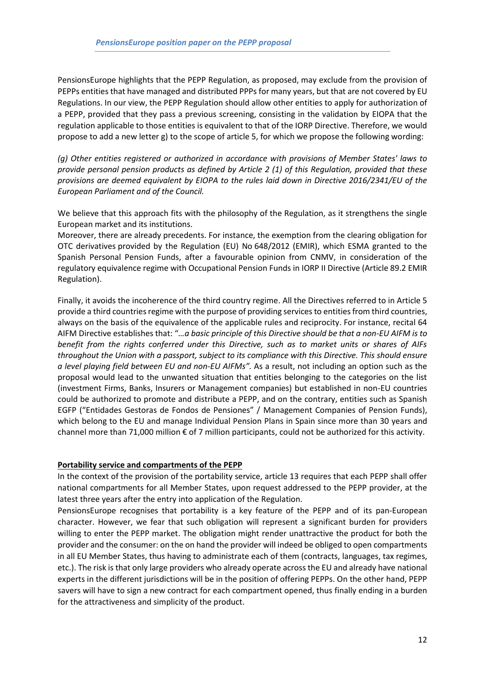PensionsEurope highlights that the PEPP Regulation, as proposed, may exclude from the provision of PEPPs entities that have managed and distributed PPPs for many years, but that are not covered by EU Regulations. In our view, the PEPP Regulation should allow other entities to apply for authorization of a PEPP, provided that they pass a previous screening, consisting in the validation by EIOPA that the regulation applicable to those entities is equivalent to that of the IORP Directive. Therefore, we would propose to add a new letter g) to the scope of article 5, for which we propose the following wording:

*(g) Other entities registered or authorized in accordance with provisions of Member States' laws to provide personal pension products as defined by Article 2 (1) of this Regulation, provided that these provisions are deemed equivalent by EIOPA to the rules laid down in Directive 2016/2341/EU of the European Parliament and of the Council.*

We believe that this approach fits with the philosophy of the Regulation, as it strengthens the single European market and its institutions.

Moreover, there are already precedents. For instance, the exemption from the clearing obligation for OTC derivatives provided by the Regulation (EU) No 648/2012 (EMIR), which ESMA granted to the Spanish Personal Pension Funds, after a favourable opinion from CNMV, in consideration of the regulatory equivalence regime with Occupational Pension Funds in IORP II Directive (Article 89.2 EMIR Regulation).

Finally, it avoids the incoherence of the third country regime. All the Directives referred to in Article 5 provide a third countries regime with the purpose of providing services to entities from third countries, always on the basis of the equivalence of the applicable rules and reciprocity. For instance, recital 64 AIFM Directive establishes that: "*…a basic principle of this Directive should be that a non-EU AIFM is to benefit from the rights conferred under this Directive, such as to market units or shares of AIFs throughout the Union with a passport, subject to its compliance with this Directive. This should ensure a level playing field between EU and non-EU AIFMs".* As a result, not including an option such as the proposal would lead to the unwanted situation that entities belonging to the categories on the list (investment Firms, Banks, Insurers or Management companies) but established in non-EU countries could be authorized to promote and distribute a PEPP, and on the contrary, entities such as Spanish EGFP ("Entidades Gestoras de Fondos de Pensiones" / Management Companies of Pension Funds), which belong to the EU and manage Individual Pension Plans in Spain since more than 30 years and channel more than 71,000 million € of 7 million participants, could not be authorized for this activity.

#### **Portability service and compartments of the PEPP**

In the context of the provision of the portability service, article 13 requires that each PEPP shall offer national compartments for all Member States, upon request addressed to the PEPP provider, at the latest three years after the entry into application of the Regulation.

PensionsEurope recognises that portability is a key feature of the PEPP and of its pan-European character. However, we fear that such obligation will represent a significant burden for providers willing to enter the PEPP market. The obligation might render unattractive the product for both the provider and the consumer: on the on hand the provider will indeed be obliged to open compartments in all EU Member States, thus having to administrate each of them (contracts, languages, tax regimes, etc.). The risk is that only large providers who already operate across the EU and already have national experts in the different jurisdictions will be in the position of offering PEPPs. On the other hand, PEPP savers will have to sign a new contract for each compartment opened, thus finally ending in a burden for the attractiveness and simplicity of the product.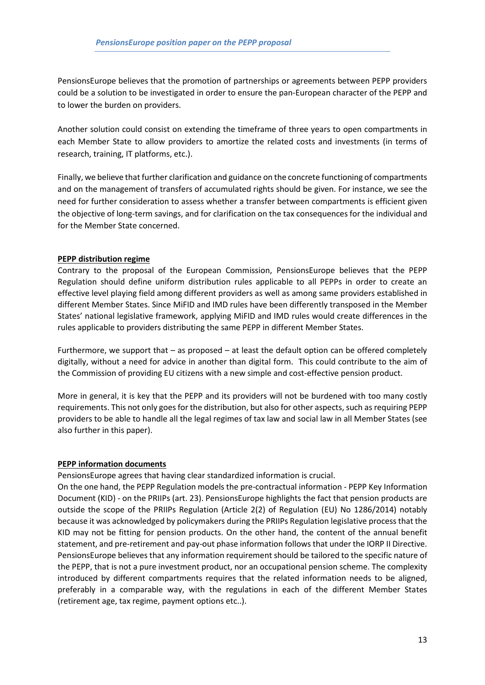PensionsEurope believes that the promotion of partnerships or agreements between PEPP providers could be a solution to be investigated in order to ensure the pan-European character of the PEPP and to lower the burden on providers.

Another solution could consist on extending the timeframe of three years to open compartments in each Member State to allow providers to amortize the related costs and investments (in terms of research, training, IT platforms, etc.).

Finally, we believe that further clarification and guidance on the concrete functioning of compartments and on the management of transfers of accumulated rights should be given. For instance, we see the need for further consideration to assess whether a transfer between compartments is efficient given the objective of long-term savings, and for clarification on the tax consequences for the individual and for the Member State concerned.

#### **PEPP distribution regime**

Contrary to the proposal of the European Commission, PensionsEurope believes that the PEPP Regulation should define uniform distribution rules applicable to all PEPPs in order to create an effective level playing field among different providers as well as among same providers established in different Member States. Since MiFID and IMD rules have been differently transposed in the Member States' national legislative framework, applying MiFID and IMD rules would create differences in the rules applicable to providers distributing the same PEPP in different Member States.

Furthermore, we support that – as proposed – at least the default option can be offered completely digitally, without a need for advice in another than digital form. This could contribute to the aim of the Commission of providing EU citizens with a new simple and cost-effective pension product.

More in general, it is key that the PEPP and its providers will not be burdened with too many costly requirements. This not only goes for the distribution, but also for other aspects, such as requiring PEPP providers to be able to handle all the legal regimes of tax law and social law in all Member States (see also further in this paper).

#### **PEPP information documents**

PensionsEurope agrees that having clear standardized information is crucial.

On the one hand, the PEPP Regulation models the pre-contractual information - PEPP Key Information Document (KID) - on the PRIIPs (art. 23). PensionsEurope highlights the fact that pension products are outside the scope of the PRIIPs Regulation (Article 2(2) of Regulation (EU) No 1286/2014) notably because it was acknowledged by policymakers during the PRIIPs Regulation legislative process that the KID may not be fitting for pension products. On the other hand, the content of the annual benefit statement, and pre-retirement and pay-out phase information follows that under the IORP II Directive. PensionsEurope believes that any information requirement should be tailored to the specific nature of the PEPP, that is not a pure investment product, nor an occupational pension scheme. The complexity introduced by different compartments requires that the related information needs to be aligned, preferably in a comparable way, with the regulations in each of the different Member States (retirement age, tax regime, payment options etc..).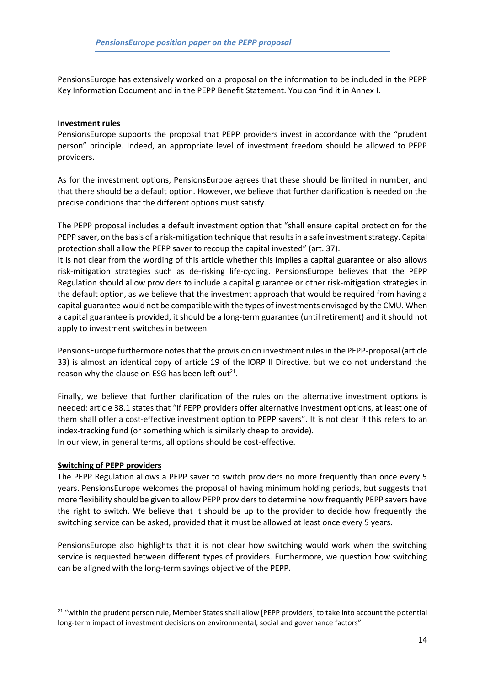PensionsEurope has extensively worked on a proposal on the information to be included in the PEPP Key Information Document and in the PEPP Benefit Statement. You can find it in Annex I.

#### **Investment rules**

PensionsEurope supports the proposal that PEPP providers invest in accordance with the "prudent person" principle. Indeed, an appropriate level of investment freedom should be allowed to PEPP providers.

As for the investment options, PensionsEurope agrees that these should be limited in number, and that there should be a default option. However, we believe that further clarification is needed on the precise conditions that the different options must satisfy.

The PEPP proposal includes a default investment option that "shall ensure capital protection for the PEPP saver, on the basis of a risk-mitigation technique that results in a safe investment strategy. Capital protection shall allow the PEPP saver to recoup the capital invested" (art. 37).

It is not clear from the wording of this article whether this implies a capital guarantee or also allows risk-mitigation strategies such as de-risking life-cycling. PensionsEurope believes that the PEPP Regulation should allow providers to include a capital guarantee or other risk-mitigation strategies in the default option, as we believe that the investment approach that would be required from having a capital guarantee would not be compatible with the types of investments envisaged by the CMU. When a capital guarantee is provided, it should be a long-term guarantee (until retirement) and it should not apply to investment switches in between.

PensionsEurope furthermore notes that the provision on investment rules in the PEPP-proposal (article 33) is almost an identical copy of article 19 of the IORP II Directive, but we do not understand the reason why the clause on ESG has been left out $^{21}$ .

Finally, we believe that further clarification of the rules on the alternative investment options is needed: article 38.1 states that "if PEPP providers offer alternative investment options, at least one of them shall offer a cost-effective investment option to PEPP savers". It is not clear if this refers to an index-tracking fund (or something which is similarly cheap to provide). In our view, in general terms, all options should be cost-effective.

#### **Switching of PEPP providers**

**.** 

The PEPP Regulation allows a PEPP saver to switch providers no more frequently than once every 5 years. PensionsEurope welcomes the proposal of having minimum holding periods, but suggests that more flexibility should be given to allow PEPP providers to determine how frequently PEPP savers have the right to switch. We believe that it should be up to the provider to decide how frequently the switching service can be asked, provided that it must be allowed at least once every 5 years.

PensionsEurope also highlights that it is not clear how switching would work when the switching service is requested between different types of providers. Furthermore, we question how switching can be aligned with the long-term savings objective of the PEPP.

<sup>&</sup>lt;sup>21</sup> "within the prudent person rule, Member States shall allow [PEPP providers] to take into account the potential long-term impact of investment decisions on environmental, social and governance factors"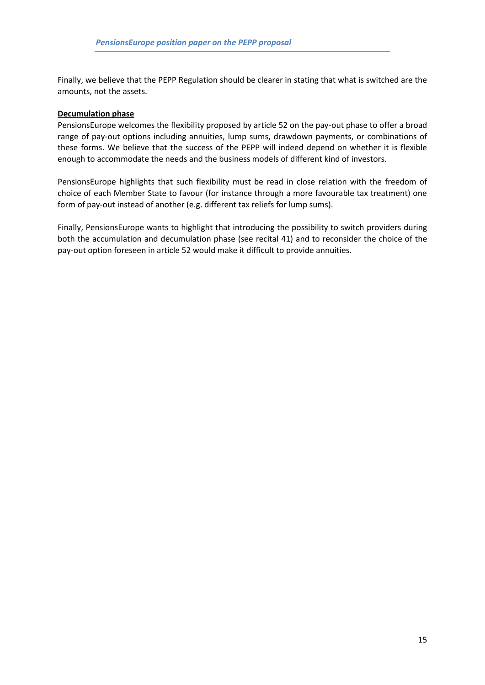Finally, we believe that the PEPP Regulation should be clearer in stating that what is switched are the amounts, not the assets.

#### **Decumulation phase**

PensionsEurope welcomes the flexibility proposed by article 52 on the pay-out phase to offer a broad range of pay-out options including annuities, lump sums, drawdown payments, or combinations of these forms. We believe that the success of the PEPP will indeed depend on whether it is flexible enough to accommodate the needs and the business models of different kind of investors.

PensionsEurope highlights that such flexibility must be read in close relation with the freedom of choice of each Member State to favour (for instance through a more favourable tax treatment) one form of pay-out instead of another (e.g. different tax reliefs for lump sums).

Finally, PensionsEurope wants to highlight that introducing the possibility to switch providers during both the accumulation and decumulation phase (see recital 41) and to reconsider the choice of the pay-out option foreseen in article 52 would make it difficult to provide annuities.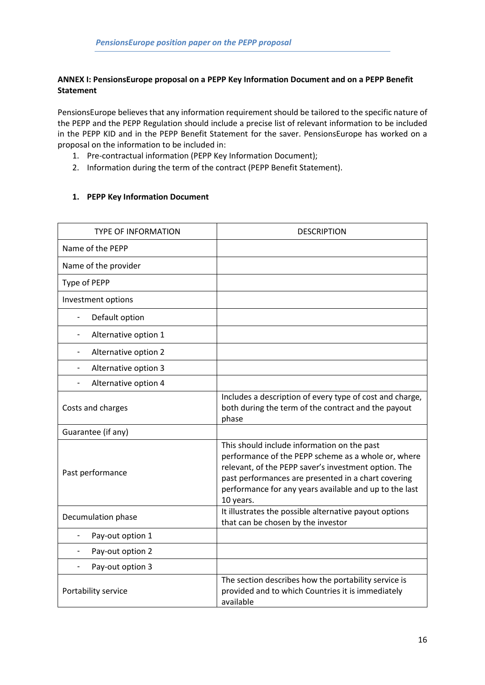## **ANNEX I: PensionsEurope proposal on a PEPP Key Information Document and on a PEPP Benefit Statement**

PensionsEurope believes that any information requirement should be tailored to the specific nature of the PEPP and the PEPP Regulation should include a precise list of relevant information to be included in the PEPP KID and in the PEPP Benefit Statement for the saver. PensionsEurope has worked on a proposal on the information to be included in:

- 1. Pre-contractual information (PEPP Key Information Document);
- 2. Information during the term of the contract (PEPP Benefit Statement).

## **1. PEPP Key Information Document**

| <b>TYPE OF INFORMATION</b>                 | <b>DESCRIPTION</b>                                                                                                                                                                                                                                                                       |
|--------------------------------------------|------------------------------------------------------------------------------------------------------------------------------------------------------------------------------------------------------------------------------------------------------------------------------------------|
| Name of the PEPP                           |                                                                                                                                                                                                                                                                                          |
| Name of the provider                       |                                                                                                                                                                                                                                                                                          |
| Type of PEPP                               |                                                                                                                                                                                                                                                                                          |
| Investment options                         |                                                                                                                                                                                                                                                                                          |
| Default option<br>$\overline{\phantom{a}}$ |                                                                                                                                                                                                                                                                                          |
| Alternative option 1                       |                                                                                                                                                                                                                                                                                          |
| Alternative option 2                       |                                                                                                                                                                                                                                                                                          |
| Alternative option 3<br>$\blacksquare$     |                                                                                                                                                                                                                                                                                          |
| Alternative option 4<br>$\blacksquare$     |                                                                                                                                                                                                                                                                                          |
| Costs and charges                          | Includes a description of every type of cost and charge,<br>both during the term of the contract and the payout<br>phase                                                                                                                                                                 |
| Guarantee (if any)                         |                                                                                                                                                                                                                                                                                          |
| Past performance                           | This should include information on the past<br>performance of the PEPP scheme as a whole or, where<br>relevant, of the PEPP saver's investment option. The<br>past performances are presented in a chart covering<br>performance for any years available and up to the last<br>10 years. |
| Decumulation phase                         | It illustrates the possible alternative payout options<br>that can be chosen by the investor                                                                                                                                                                                             |
| Pay-out option 1                           |                                                                                                                                                                                                                                                                                          |
| Pay-out option 2                           |                                                                                                                                                                                                                                                                                          |
| Pay-out option 3                           |                                                                                                                                                                                                                                                                                          |
| Portability service                        | The section describes how the portability service is<br>provided and to which Countries it is immediately<br>available                                                                                                                                                                   |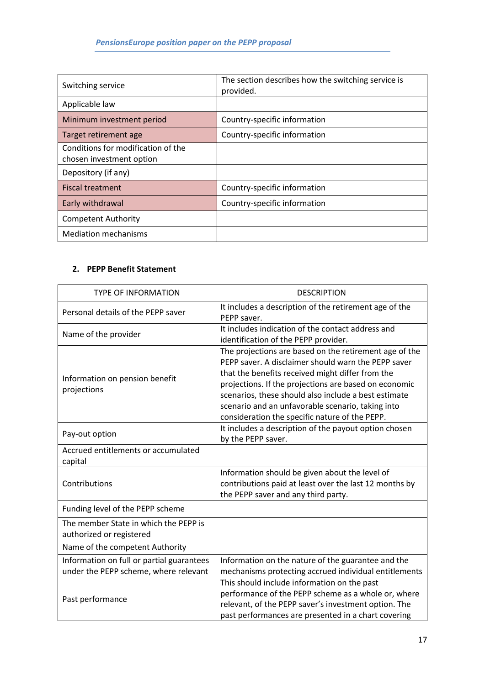| Switching service                                              | The section describes how the switching service is<br>provided. |
|----------------------------------------------------------------|-----------------------------------------------------------------|
| Applicable law                                                 |                                                                 |
| Minimum investment period                                      | Country-specific information                                    |
| Target retirement age                                          | Country-specific information                                    |
| Conditions for modification of the<br>chosen investment option |                                                                 |
| Depository (if any)                                            |                                                                 |
| <b>Fiscal treatment</b>                                        | Country-specific information                                    |
| Early withdrawal                                               | Country-specific information                                    |
| <b>Competent Authority</b>                                     |                                                                 |
| <b>Mediation mechanisms</b>                                    |                                                                 |

## **2. PEPP Benefit Statement**

| <b>TYPE OF INFORMATION</b>                                                         | <b>DESCRIPTION</b>                                                                                                                                                                                                                                                                                                                                                                        |
|------------------------------------------------------------------------------------|-------------------------------------------------------------------------------------------------------------------------------------------------------------------------------------------------------------------------------------------------------------------------------------------------------------------------------------------------------------------------------------------|
| Personal details of the PEPP saver                                                 | It includes a description of the retirement age of the<br>PEPP saver.                                                                                                                                                                                                                                                                                                                     |
| Name of the provider                                                               | It includes indication of the contact address and<br>identification of the PEPP provider.                                                                                                                                                                                                                                                                                                 |
| Information on pension benefit<br>projections                                      | The projections are based on the retirement age of the<br>PEPP saver. A disclaimer should warn the PEPP saver<br>that the benefits received might differ from the<br>projections. If the projections are based on economic<br>scenarios, these should also include a best estimate<br>scenario and an unfavorable scenario, taking into<br>consideration the specific nature of the PEPP. |
| Pay-out option                                                                     | It includes a description of the payout option chosen<br>by the PEPP saver.                                                                                                                                                                                                                                                                                                               |
| Accrued entitlements or accumulated<br>capital                                     |                                                                                                                                                                                                                                                                                                                                                                                           |
| Contributions                                                                      | Information should be given about the level of<br>contributions paid at least over the last 12 months by<br>the PEPP saver and any third party.                                                                                                                                                                                                                                           |
| Funding level of the PEPP scheme                                                   |                                                                                                                                                                                                                                                                                                                                                                                           |
| The member State in which the PEPP is<br>authorized or registered                  |                                                                                                                                                                                                                                                                                                                                                                                           |
| Name of the competent Authority                                                    |                                                                                                                                                                                                                                                                                                                                                                                           |
| Information on full or partial guarantees<br>under the PEPP scheme, where relevant | Information on the nature of the guarantee and the<br>mechanisms protecting accrued individual entitlements                                                                                                                                                                                                                                                                               |
| Past performance                                                                   | This should include information on the past<br>performance of the PEPP scheme as a whole or, where<br>relevant, of the PEPP saver's investment option. The<br>past performances are presented in a chart covering                                                                                                                                                                         |